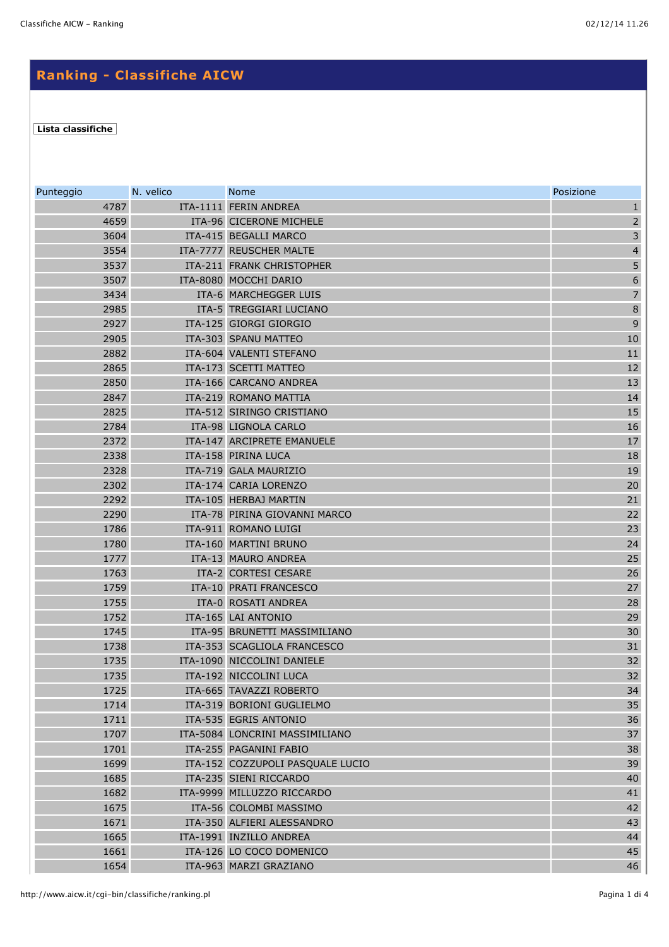## **Ranking - Classifiche AICW**

## **[Lista classifiche](http://www.aicw.it/cgi-bin/classifiche/lista_classifiche.pl)**

| Punteggio    | N. velico | <b>Nome</b>                                   | Posizione               |
|--------------|-----------|-----------------------------------------------|-------------------------|
| 4787         |           | ITA-1111 FERIN ANDREA                         | $\mathbf{1}$            |
| 4659         |           | ITA-96 CICERONE MICHELE                       | $\overline{\mathbf{c}}$ |
| 3604         |           | ITA-415 BEGALLI MARCO                         | $\overline{3}$          |
| 3554         |           | ITA-7777 REUSCHER MALTE                       | $\overline{\mathbf{4}}$ |
| 3537         |           | ITA-211 FRANK CHRISTOPHER                     | 5                       |
| 3507         |           | ITA-8080 MOCCHI DARIO                         | $\overline{6}$          |
| 3434         |           | ITA-6 MARCHEGGER LUIS                         | $\overline{7}$          |
| 2985         |           | ITA-5 TREGGIARI LUCIANO                       | $\overline{8}$          |
| 2927         |           | ITA-125 GIORGI GIORGIO                        | $\mathbf{9}$            |
| 2905         |           | ITA-303 SPANU MATTEO                          | 10                      |
| 2882         |           | ITA-604 VALENTI STEFANO                       | $11\,$                  |
| 2865         |           | ITA-173 SCETTI MATTEO                         | 12                      |
| 2850         |           | ITA-166 CARCANO ANDREA                        | 13                      |
| 2847         |           | ITA-219 ROMANO MATTIA                         | 14                      |
| 2825         |           | ITA-512 SIRINGO CRISTIANO                     | 15                      |
| 2784         |           | ITA-98 LIGNOLA CARLO                          | 16                      |
| 2372         |           | ITA-147 ARCIPRETE EMANUELE                    | $17$                    |
| 2338         |           | ITA-158 PIRINA LUCA                           | 18                      |
| 2328         |           | ITA-719 GALA MAURIZIO                         | 19                      |
| 2302         |           | ITA-174 CARIA LORENZO                         | 20                      |
| 2292         |           | ITA-105 HERBAJ MARTIN                         | 21                      |
| 2290         |           | ITA-78 PIRINA GIOVANNI MARCO                  | 22                      |
| 1786<br>1780 |           | ITA-911 ROMANO LUIGI<br>ITA-160 MARTINI BRUNO | 23<br>24                |
| 1777         |           | ITA-13 MAURO ANDREA                           | 25                      |
| 1763         |           | ITA-2 CORTESI CESARE                          | 26                      |
| 1759         |           | ITA-10 PRATI FRANCESCO                        | 27                      |
| 1755         |           | ITA-0 ROSATI ANDREA                           | 28                      |
| 1752         |           | ITA-165 LAI ANTONIO                           | 29                      |
| 1745         |           | ITA-95 BRUNETTI MASSIMILIANO                  | 30                      |
| 1738         |           | ITA-353 SCAGLIOLA FRANCESCO                   | 31                      |
| 1735         |           | ITA-1090 NICCOLINI DANIELE                    | 32                      |
| 1735         |           | ITA-192 NICCOLINI LUCA                        | 32                      |
| 1725         |           | ITA-665 TAVAZZI ROBERTO                       | 34                      |
| 1714         |           | ITA-319 BORIONI GUGLIELMO                     | 35                      |
| 1711         |           | ITA-535 EGRIS ANTONIO                         | 36                      |
| 1707         |           | ITA-5084 LONCRINI MASSIMILIANO                | 37                      |
| 1701         |           | ITA-255 PAGANINI FABIO                        | 38                      |
| 1699         |           | ITA-152 COZZUPOLI PASQUALE LUCIO              | 39                      |
| 1685         |           | ITA-235 SIENI RICCARDO                        | 40                      |
| 1682         |           | ITA-9999 MILLUZZO RICCARDO                    | 41                      |
| 1675         |           | ITA-56 COLOMBI MASSIMO                        | 42                      |
| 1671         |           | ITA-350 ALFIERI ALESSANDRO                    | 43                      |
| 1665         |           | ITA-1991 INZILLO ANDREA                       | 44                      |
| 1661         |           | ITA-126 LO COCO DOMENICO                      | 45                      |
| 1654         |           | ITA-963 MARZI GRAZIANO                        | 46                      |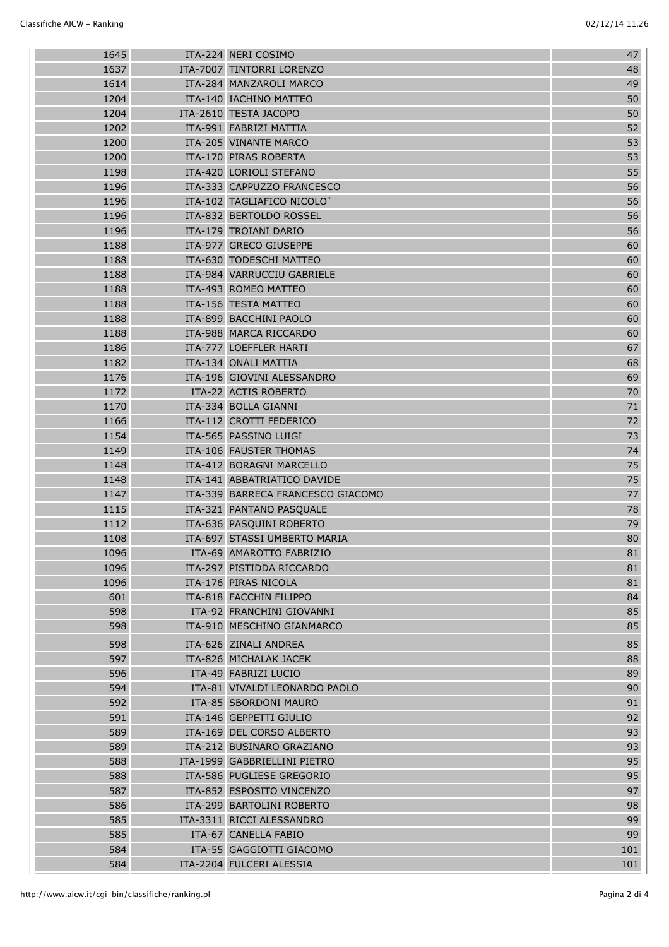| 1645 | ITA-224 NERI COSIMO               | 47  |
|------|-----------------------------------|-----|
| 1637 | ITA-7007 TINTORRI LORENZO         | 48  |
| 1614 | ITA-284 MANZAROLI MARCO           | 49  |
| 1204 | ITA-140 IACHINO MATTEO            | 50  |
| 1204 | ITA-2610 TESTA JACOPO             | 50  |
| 1202 | ITA-991 FABRIZI MATTIA            | 52  |
| 1200 | ITA-205 VINANTE MARCO             | 53  |
| 1200 | ITA-170 PIRAS ROBERTA             | 53  |
| 1198 | ITA-420 LORIOLI STEFANO           | 55  |
| 1196 | ITA-333 CAPPUZZO FRANCESCO        | 56  |
| 1196 | ITA-102 TAGLIAFICO NICOLO         | 56  |
| 1196 | ITA-832 BERTOLDO ROSSEL           | 56  |
| 1196 | ITA-179 TROIANI DARIO             | 56  |
| 1188 | ITA-977 GRECO GIUSEPPE            | 60  |
| 1188 | ITA-630 TODESCHI MATTEO           | 60  |
| 1188 | ITA-984 VARRUCCIU GABRIELE        | 60  |
| 1188 | ITA-493 ROMEO MATTEO              | 60  |
| 1188 | ITA-156 TESTA MATTEO              | 60  |
| 1188 | ITA-899 BACCHINI PAOLO            | 60  |
| 1188 | ITA-988 MARCA RICCARDO            | 60  |
| 1186 | ITA-777 LOEFFLER HARTI            | 67  |
| 1182 | ITA-134 ONALI MATTIA              | 68  |
| 1176 | ITA-196 GIOVINI ALESSANDRO        | 69  |
| 1172 | ITA-22 ACTIS ROBERTO              | 70  |
| 1170 | ITA-334 BOLLA GIANNI              | 71  |
| 1166 | ITA-112 CROTTI FEDERICO           | 72  |
| 1154 | ITA-565 PASSINO LUIGI             | 73  |
| 1149 | ITA-106 FAUSTER THOMAS            | 74  |
| 1148 | ITA-412 BORAGNI MARCELLO          | 75  |
| 1148 | ITA-141 ABBATRIATICO DAVIDE       | 75  |
| 1147 | ITA-339 BARRECA FRANCESCO GIACOMO | 77  |
| 1115 | ITA-321 PANTANO PASQUALE          | 78  |
| 1112 | ITA-636 PASQUINI ROBERTO          | 79  |
| 1108 | ITA-697 STASSI UMBERTO MARIA      | 80  |
| 1096 | ITA-69 AMAROTTO FABRIZIO          | 81  |
| 1096 | ITA-297 PISTIDDA RICCARDO         | 81  |
| 1096 | ITA-176 PIRAS NICOLA              | 81  |
| 601  | ITA-818 FACCHIN FILIPPO           | 84  |
| 598  | ITA-92 FRANCHINI GIOVANNI         | 85  |
| 598  | ITA-910 MESCHINO GIANMARCO        | 85  |
| 598  | ITA-626 ZINALI ANDREA             | 85  |
| 597  | ITA-826 MICHALAK JACEK            | 88  |
| 596  | ITA-49 FABRIZI LUCIO              | 89  |
| 594  | ITA-81 VIVALDI LEONARDO PAOLO     | 90  |
| 592  | ITA-85 SBORDONI MAURO             | 91  |
| 591  | ITA-146 GEPPETTI GIULIO           | 92  |
| 589  | ITA-169 DEL CORSO ALBERTO         | 93  |
| 589  | ITA-212 BUSINARO GRAZIANO         | 93  |
| 588  | ITA-1999 GABBRIELLINI PIETRO      | 95  |
| 588  | ITA-586 PUGLIESE GREGORIO         | 95  |
| 587  | ITA-852 ESPOSITO VINCENZO         | 97  |
| 586  | ITA-299 BARTOLINI ROBERTO         | 98  |
| 585  | ITA-3311 RICCI ALESSANDRO         | 99  |
| 585  | ITA-67 CANELLA FABIO              | 99  |
| 584  | ITA-55 GAGGIOTTI GIACOMO          | 101 |
| 584  | ITA-2204 FULCERI ALESSIA          | 101 |
|      |                                   |     |